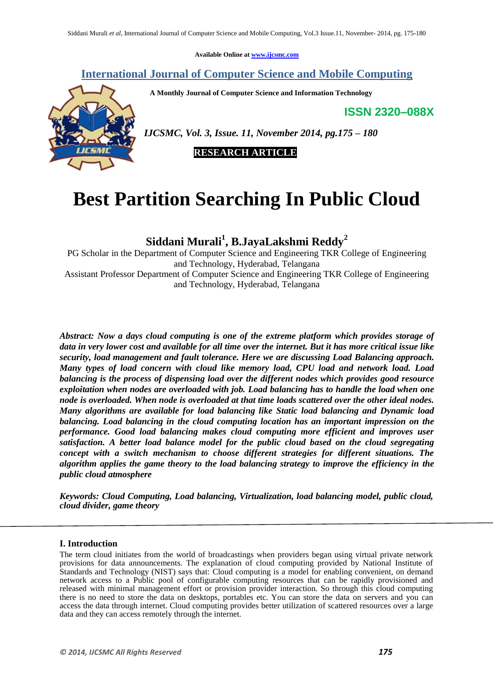**Available Online at [www.ijcsmc.com](http://www.ijcsmc.com/)**

# **International Journal of Computer Science and Mobile Computing**

 **A Monthly Journal of Computer Science and Information Technology**

**ISSN 2320–088X**



*IJCSMC, Vol. 3, Issue. 11, November 2014, pg.175 – 180*

 **RESEARCH ARTICLE**

# **Best Partition Searching In Public Cloud**

**Siddani Murali<sup>1</sup> , B.JayaLakshmi Reddy<sup>2</sup>**

PG Scholar in the Department of Computer Science and Engineering TKR College of Engineering and Technology, Hyderabad, Telangana Assistant Professor Department of Computer Science and Engineering TKR College of Engineering and Technology, Hyderabad, Telangana

*Abstract: Now a days cloud computing is one of the extreme platform which provides storage of data in very lower cost and available for all time over the internet. But it has more critical issue like security, load management and fault tolerance. Here we are discussing Load Balancing approach. Many types of load concern with cloud like memory load, CPU load and network load. Load balancing is the process of dispensing load over the different nodes which provides good resource exploitation when nodes are overloaded with job. Load balancing has to handle the load when one node is overloaded. When node is overloaded at that time loads scattered over the other ideal nodes. Many algorithms are available for load balancing like Static load balancing and Dynamic load balancing. Load balancing in the cloud computing location has an important impression on the performance. Good load balancing makes cloud computing more efficient and improves user satisfaction. A better load balance model for the public cloud based on the cloud segregating concept with a switch mechanism to choose different strategies for different situations. The algorithm applies the game theory to the load balancing strategy to improve the efficiency in the public cloud atmosphere*

*Keywords: Cloud Computing, Load balancing, Virtualization, load balancing model, public cloud, cloud divider, game theory*

## **I. Introduction**

The term cloud initiates from the world of broadcastings when providers began using virtual private network provisions for data announcements. The explanation of cloud computing provided by National Institute of Standards and Technology (NIST) says that: Cloud computing is a model for enabling convenient, on demand network access to a Public pool of configurable computing resources that can be rapidly provisioned and released with minimal management effort or provision provider interaction. So through this cloud computing there is no need to store the data on desktops, portables etc. You can store the data on servers and you can access the data through internet. Cloud computing provides better utilization of scattered resources over a large data and they can access remotely through the internet.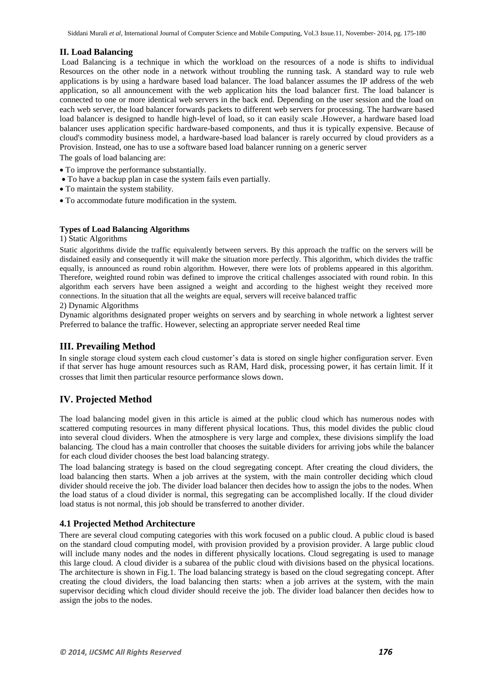## **II. Load Balancing**

Load Balancing is a technique in which the workload on the resources of a node is shifts to individual Resources on the other node in a network without troubling the running task. A standard way to rule web applications is by using a hardware based load balancer. The load balancer assumes the IP address of the web application, so all announcement with the web application hits the load balancer first. The load balancer is connected to one or more identical web servers in the back end. Depending on the user session and the load on each web server, the load balancer forwards packets to different web servers for processing. The hardware based load balancer is designed to handle high-level of load, so it can easily scale .However, a hardware based load balancer uses application specific hardware-based components, and thus it is typically expensive. Because of cloud's commodity business model, a hardware-based load balancer is rarely occurred by cloud providers as a Provision. Instead, one has to use a software based load balancer running on a generic server

The goals of load balancing are:

- To improve the performance substantially.
- To have a backup plan in case the system fails even partially.
- To maintain the system stability.
- To accommodate future modification in the system.

### **Types of Load Balancing Algorithms**

#### 1) Static Algorithms

Static algorithms divide the traffic equivalently between servers. By this approach the traffic on the servers will be disdained easily and consequently it will make the situation more perfectly. This algorithm, which divides the traffic equally, is announced as round robin algorithm. However, there were lots of problems appeared in this algorithm. Therefore, weighted round robin was defined to improve the critical challenges associated with round robin. In this algorithm each servers have been assigned a weight and according to the highest weight they received more connections. In the situation that all the weights are equal, servers will receive balanced traffic

## 2) Dynamic Algorithms

Dynamic algorithms designated proper weights on servers and by searching in whole network a lightest server Preferred to balance the traffic. However, selecting an appropriate server needed Real time

## **III. Prevailing Method**

In single storage cloud system each cloud customer's data is stored on single higher configuration server. Even if that server has huge amount resources such as RAM, Hard disk, processing power, it has certain limit. If it crosses that limit then particular resource performance slows down.

## **IV. Projected Method**

The load balancing model given in this article is aimed at the public cloud which has numerous nodes with scattered computing resources in many different physical locations. Thus, this model divides the public cloud into several cloud dividers. When the atmosphere is very large and complex, these divisions simplify the load balancing. The cloud has a main controller that chooses the suitable dividers for arriving jobs while the balancer for each cloud divider chooses the best load balancing strategy.

The load balancing strategy is based on the cloud segregating concept. After creating the cloud dividers, the load balancing then starts. When a job arrives at the system, with the main controller deciding which cloud divider should receive the job. The divider load balancer then decides how to assign the jobs to the nodes. When the load status of a cloud divider is normal, this segregating can be accomplished locally. If the cloud divider load status is not normal, this job should be transferred to another divider.

## **4.1 Projected Method Architecture**

There are several cloud computing categories with this work focused on a public cloud. A public cloud is based on the standard cloud computing model, with provision provided by a provision provider. A large public cloud will include many nodes and the nodes in different physically locations. Cloud segregating is used to manage this large cloud. A cloud divider is a subarea of the public cloud with divisions based on the physical locations. The architecture is shown in Fig.1. The load balancing strategy is based on the cloud segregating concept. After creating the cloud dividers, the load balancing then starts: when a job arrives at the system, with the main supervisor deciding which cloud divider should receive the job. The divider load balancer then decides how to assign the jobs to the nodes.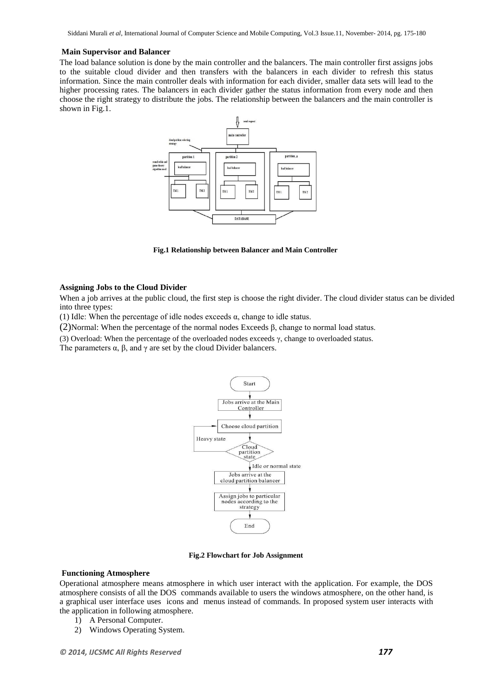Siddani Murali *et al*, International Journal of Computer Science and Mobile Computing, Vol.3 Issue.11, November- 2014, pg. 175-180

#### **Main Supervisor and Balancer**

The load balance solution is done by the main controller and the balancers. The main controller first assigns jobs to the suitable cloud divider and then transfers with the balancers in each divider to refresh this status information. Since the main controller deals with information for each divider, smaller data sets will lead to the higher processing rates. The balancers in each divider gather the status information from every node and then choose the right strategy to distribute the jobs. The relationship between the balancers and the main controller is shown in Fig.1.



**Fig.1 Relationship between Balancer and Main Controller**

#### **Assigning Jobs to the Cloud Divider**

When a job arrives at the public cloud, the first step is choose the right divider. The cloud divider status can be divided into three types:

(1) Idle: When the percentage of idle nodes exceeds  $\alpha$ , change to idle status.

(2)Normal: When the percentage of the normal nodes Exceeds β, change to normal load status.

(3) Overload: When the percentage of the overloaded nodes exceeds γ, change to overloaded status.

The parameters  $\alpha$ ,  $\beta$ , and  $\gamma$  are set by the cloud Divider balancers.



**Fig.2 Flowchart for Job Assignment**

#### **Functioning Atmosphere**

Operational atmosphere means atmosphere in which user interact with the application. For example, the DOS atmosphere consists of all the DOS [commands](http://www.webopedia.com/TERM/C/command.html) available to users the windows atmosphere, on the other hand, is a graphical user interface uses [icons](http://www.webopedia.com/TERM/I/icon.html) and [menus](http://www.webopedia.com/TERM/M/menu.html) instead of commands. In proposed system user interacts with the application in following atmosphere.

- 1) A Personal Computer.
- 2) Windows Operating System.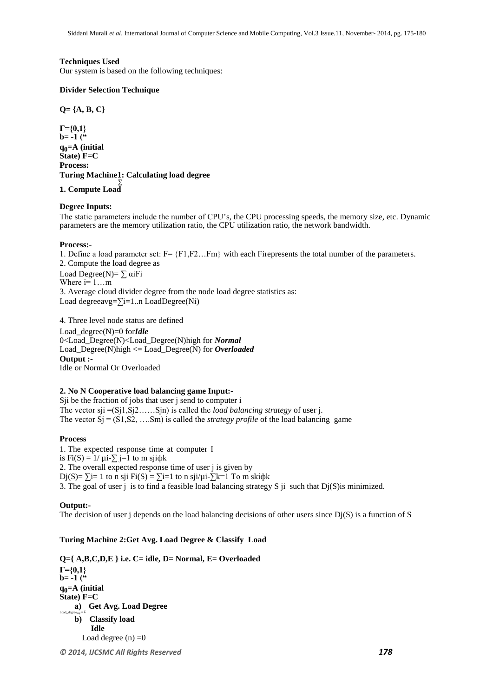#### **Techniques Used**

Our system is based on the following techniques:

#### **Divider Selection Technique**

**Q= {A, B, C}**

**Γ={0,1}**   $b = -1$  ( $\frac{1}{10}$ **q0=A (initial State) F=C Process: Turing Machine1: Calculating load degree** ∑

## **1. Compute Load**

## **Degree Inputs:**

The static parameters include the number of CPU's, the CPU processing speeds, the memory size, etc. Dynamic parameters are the memory utilization ratio, the CPU utilization ratio, the network bandwidth.

#### **Process:-**

1. Define a load parameter set:  $F = \{F1, F2...Fm\}$  with each Firepresents the total number of the parameters. 2. Compute the load degree as Load Degree(N)=  $\sum \alpha i$ Fi Where  $i=1...m$ 3. Average cloud divider degree from the node load degree statistics as: Load degreeavg=∑i=1..n LoadDegree(Ni)

4. Three level node status are defined Load\_degree(N)=0 for*Idle* 0<Load\_Degree(N)<Load\_Degree(N)high for *Normal* Load\_Degree(N)high <= Load\_Degree(N) for *Overloaded* **Output :-** Idle or Normal Or Overloaded

#### **2. No N Cooperative load balancing game Input:-**

Sji be the fraction of jobs that user j send to computer i The vector sji =(Sj1,Sj2……Sjn) is called the *load balancing strategy* of user j. The vector  $Sj = (S1, S2, \dots, Sm)$  is called the *strategy profile* of the load balancing game

#### **Process**

1. The expected response time at computer I is Fi(S) =  $1/\mu i$ - $\sum$  j=1 to m sji $\phi$ k 2. The overall expected response time of user j is given by Dj(S)=  $\Sigma$ i= 1 to n sji Fi(S) =  $\Sigma$ i=1 to n sji/µi- $\Sigma$ k=1 To m ski $\phi$ k 3. The goal of user j is to find a feasible load balancing strategy S ji such that  $D_i(S)$  is minimized.

#### **Output:-**

The decision of user j depends on the load balancing decisions of other users since  $Dj(S)$  is a function of S

## **Turing Machine 2:Get Avg. Load Degree & Classify Load**

**Q={ A,B,C,D,E } i.e. C= idle, D= Normal, E= Overloaded Γ={0,1}**   $b = -1$  ( $\frac{1}{2}$ **q0=A (initial State) F=C a) Get Avg. Load Degree** Load\_degree $\text{avg} = \Sigma$ **b) Classify load Idle**  Load degree  $(n) = 0$ 

*© 2014, IJCSMC All Rights Reserved 178*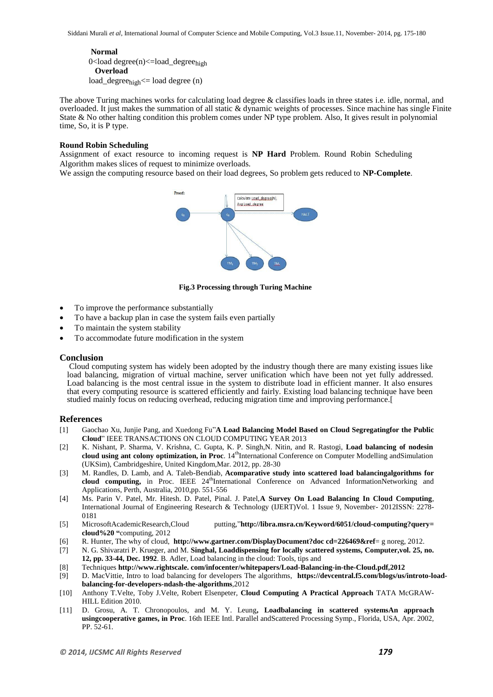**Normal**  0<load degree(n)<=load\_degree<sub>high</sub>  **Overload**   $load\_degree_{high} \leq loaddegree(n)$ 

The above Turing machines works for calculating load degree & classifies loads in three states i.e. idle, normal, and overloaded. It just makes the summation of all static & dynamic weights of processes. Since machine has single Finite State & No other halting condition this problem comes under NP type problem. Also, It gives result in polynomial time, So, it is P type.

#### **Round Robin Scheduling**

Assignment of exact resource to incoming request is **NP Hard** Problem. Round Robin Scheduling Algorithm makes slices of request to minimize overloads.

We assign the computing resource based on their load degrees, So problem gets reduced to **NP-Complete**.



**Fig.3 Processing through Turing Machine**

- To improve the performance substantially
- To have a backup plan in case the system fails even partially
- To maintain the system stability
- To accommodate future modification in the system

#### **Conclusion**

Cloud computing system has widely been adopted by the industry though there are many existing issues like load balancing, migration of virtual machine, server unification which have been not yet fully addressed. Load balancing is the most central issue in the system to distribute load in efficient manner. It also ensures that every computing resource is scattered efficiently and fairly. Existing load balancing technique have been studied mainly focus on reducing overhead, reducing migration time and improving performance.[

#### **References**

- [1] Gaochao Xu, Junjie Pang, and Xuedong Fu"**A Load Balancing Model Based on Cloud Segregatingfor the Public Cloud**" IEEE TRANSACTIONS ON CLOUD COMPUTING YEAR 2013
- [2] K. Nishant, P. Sharma, V. Krishna, C. Gupta, K. P. Singh,N. Nitin, and R. Rastogi, **Load balancing of nodesin cloud using ant colony optimization, in Proc.** 14<sup>th</sup>International Conference on Computer Modelling andSimulation (UKSim), Cambridgeshire, United Kingdom,Mar. 2012, pp. 28-30
- [3] M. Randles, D. Lamb, and A. Taleb-Bendiab, **Acomparative study into scattered load balancingalgorithms for cloud computing,** in Proc. IEEE 24<sup>th</sup>International Conference on Advanced InformationNetworking and Applications, Perth, Australia, 2010,pp. 551-556
- [4] Ms. Parin V. Patel, Mr. Hitesh. D. Patel, Pinal. J. Patel,**A Survey On Load Balancing In Cloud Computing**, International Journal of Engineering Research & Technology (IJERT)Vol. 1 Issue 9, November- 2012ISSN: 2278- 0181
- [5] MicrosoftAcademicResearch,Cloud putting,"**http://libra.msra.cn/Keyword/6051/cloud-computing?query= cloud%20 "**computing, 2012
- [6] R. Hunter, The why of cloud, **[http://www.gartner.com/D](http://www.gartner.com/)isplayDocument?doc cd=226469&ref**= g noreg, 2012.
- [7] N. G. Shivaratri P. Krueger, and M. **Singhal, Loaddispensing for locally scattered systems, Computer,vol. 25, no. 12, pp. 33-44, Dec. 1992**. B. Adler, Load balancing in the cloud: Tools, tips and
- [8] Techniques **http://www.rightscale. com/infocenter/whitepapers/Load-Balancing-in-the-Cloud.pdf,2012**
- [9] D. MacVittie, Intro to load balancing for developers The algorithms, **<https://devcentral.f5.com/blogs/us/introto->loadbalancing-for-developers-ndash-the-algorithms**,2012
- [10] Anthony T.Velte, Toby J.Velte, Robert Elsenpeter, **Cloud Computing A Practical Approach** TATA McGRAW-HILL Edition 2010.
- [11] D. Grosu, A. T. Chronopoulos, and M. Y. Leung**, Loadbalancing in scattered systemsAn approach usingcooperative games, in Proc**. 16th IEEE Intl. Parallel andScattered Processing Symp., Florida, USA, Apr. 2002, PP. 52-61.